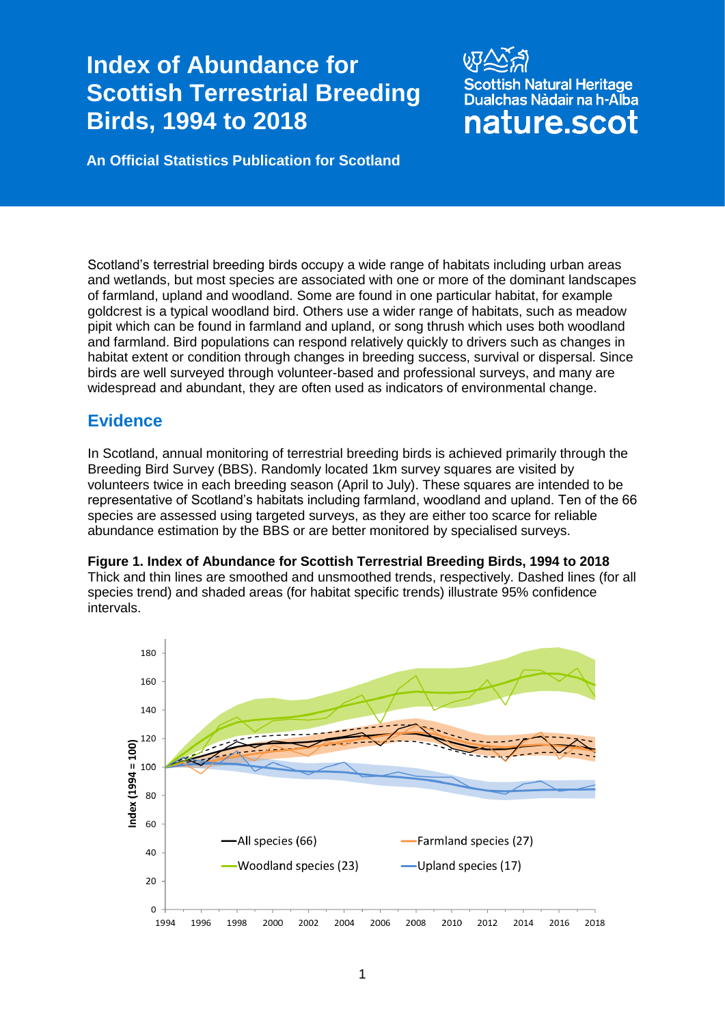# **Index of Abundance for Scottish Terrestrial Breeding Birds, 1994 to 2018**

sh Natural Heritage Dualchas Nàdair na h-Alba nature.scot

**An Official Statistics Publication for Scotland**

Scotland's terrestrial breeding birds occupy a wide range of habitats including urban areas and wetlands, but most species are associated with one or more of the dominant landscapes of farmland, upland and woodland. Some are found in one particular habitat, for example goldcrest is a typical woodland bird. Others use a wider range of habitats, such as meadow pipit which can be found in farmland and upland, or song thrush which uses both woodland and farmland. Bird populations can respond relatively quickly to drivers such as changes in habitat extent or condition through changes in breeding success, survival or dispersal. Since birds are well surveyed through volunteer-based and professional surveys, and many are widespread and abundant, they are often used as indicators of environmental change.

## **Evidence**

In Scotland, annual monitoring of terrestrial breeding birds is achieved primarily through the Breeding Bird Survey (BBS). Randomly located 1km survey squares are visited by volunteers twice in each breeding season (April to July). These squares are intended to be representative of Scotland's habitats including farmland, woodland and upland. Ten of the 66 species are assessed using targeted surveys, as they are either too scarce for reliable abundance estimation by the BBS or are better monitored by specialised surveys.

**Figure 1. Index of Abundance for Scottish Terrestrial Breeding Birds, 1994 to 2018**  Thick and thin lines are smoothed and unsmoothed trends, respectively. Dashed lines (for all species trend) and shaded areas (for habitat specific trends) illustrate 95% confidence intervals.

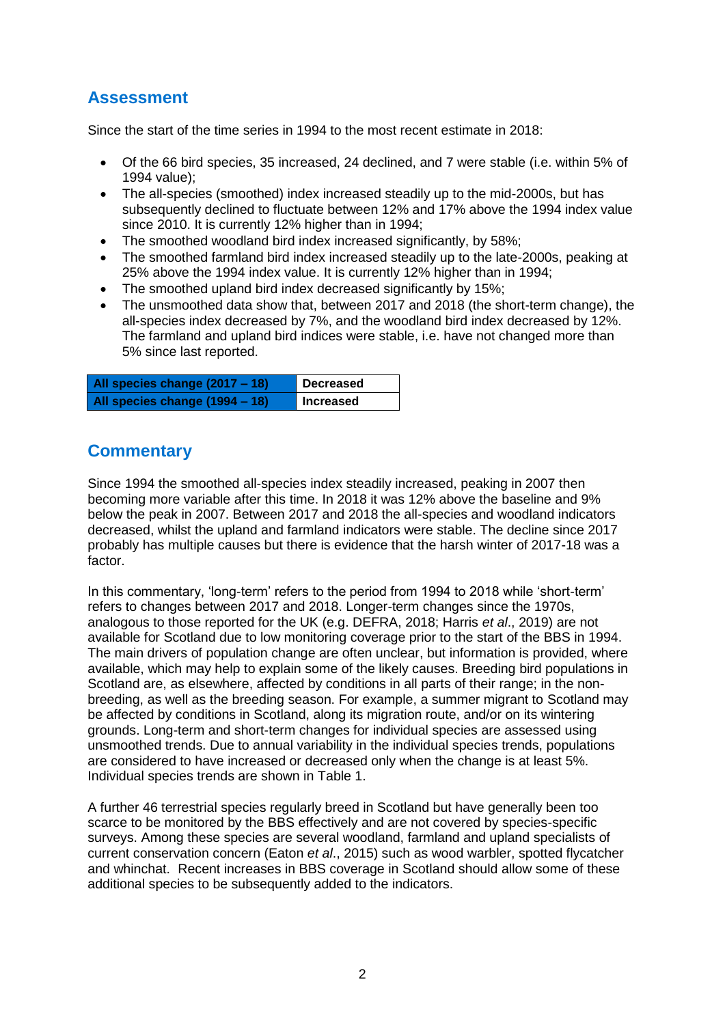## **Assessment**

Since the start of the time series in 1994 to the most recent estimate in 2018:

- Of the 66 bird species, 35 increased, 24 declined, and 7 were stable (i.e. within 5% of 1994 value);
- The all-species (smoothed) index increased steadily up to the mid-2000s, but has subsequently declined to fluctuate between 12% and 17% above the 1994 index value since 2010. It is currently 12% higher than in 1994;
- The smoothed woodland bird index increased significantly, by 58%;
- The smoothed farmland bird index increased steadily up to the late-2000s, peaking at 25% above the 1994 index value. It is currently 12% higher than in 1994;
- The smoothed upland bird index decreased significantly by 15%;
- The unsmoothed data show that, between 2017 and 2018 (the short-term change), the all-species index decreased by 7%, and the woodland bird index decreased by 12%. The farmland and upland bird indices were stable, i.e. have not changed more than 5% since last reported.

| All species change (2017 – 18) | Decreased |
|--------------------------------|-----------|
| All species change (1994 - 18) | Increased |

## **Commentary**

Since 1994 the smoothed all-species index steadily increased, peaking in 2007 then becoming more variable after this time. In 2018 it was 12% above the baseline and 9% below the peak in 2007. Between 2017 and 2018 the all-species and woodland indicators decreased, whilst the upland and farmland indicators were stable. The decline since 2017 probably has multiple causes but there is evidence that the harsh winter of 2017-18 was a factor.

In this commentary, 'long-term' refers to the period from 1994 to 2018 while 'short-term' refers to changes between 2017 and 2018. Longer-term changes since the 1970s, analogous to those reported for the UK (e.g. DEFRA, 2018; Harris *et al*., 2019) are not available for Scotland due to low monitoring coverage prior to the start of the BBS in 1994. The main drivers of population change are often unclear, but information is provided, where available, which may help to explain some of the likely causes. Breeding bird populations in Scotland are, as elsewhere, affected by conditions in all parts of their range; in the nonbreeding, as well as the breeding season. For example, a summer migrant to Scotland may be affected by conditions in Scotland, along its migration route, and/or on its wintering grounds. Long-term and short-term changes for individual species are assessed using unsmoothed trends. Due to annual variability in the individual species trends, populations are considered to have increased or decreased only when the change is at least 5%. Individual species trends are shown in Table 1.

A further 46 terrestrial species regularly breed in Scotland but have generally been too scarce to be monitored by the BBS effectively and are not covered by species-specific surveys. Among these species are several woodland, farmland and upland specialists of current conservation concern (Eaton *et al*., 2015) such as wood warbler, spotted flycatcher and whinchat. Recent increases in BBS coverage in Scotland should allow some of these additional species to be subsequently added to the indicators.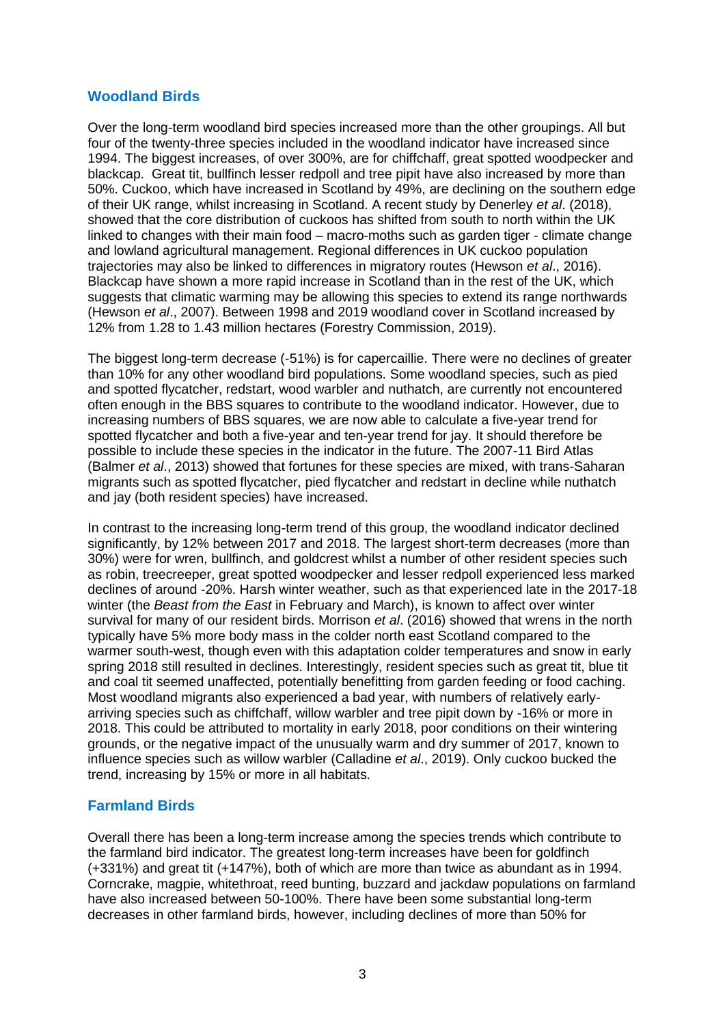#### **Woodland Birds**

Over the long-term woodland bird species increased more than the other groupings. All but four of the twenty-three species included in the woodland indicator have increased since 1994. The biggest increases, of over 300%, are for chiffchaff, great spotted woodpecker and blackcap. Great tit, bullfinch lesser redpoll and tree pipit have also increased by more than 50%. Cuckoo, which have increased in Scotland by 49%, are declining on the southern edge of their UK range, whilst increasing in Scotland. A recent study by Denerley *et al*. (2018), showed that the core distribution of cuckoos has shifted from south to north within the UK linked to changes with their main food – macro-moths such as garden tiger - climate change and lowland agricultural management. Regional differences in UK cuckoo population trajectories may also be linked to differences in migratory routes (Hewson *et al*., 2016). Blackcap have shown a more rapid increase in Scotland than in the rest of the UK, which suggests that climatic warming may be allowing this species to extend its range northwards (Hewson *et al*., 2007). Between 1998 and 2019 woodland cover in Scotland increased by 12% from 1.28 to 1.43 million hectares (Forestry Commission, 2019).

The biggest long-term decrease (-51%) is for capercaillie. There were no declines of greater than 10% for any other woodland bird populations. Some woodland species, such as pied and spotted flycatcher, redstart, wood warbler and nuthatch, are currently not encountered often enough in the BBS squares to contribute to the woodland indicator. However, due to increasing numbers of BBS squares, we are now able to calculate a five-year trend for spotted flycatcher and both a five-year and ten-year trend for jay. It should therefore be possible to include these species in the indicator in the future. The 2007-11 Bird Atlas (Balmer *et al*., 2013) showed that fortunes for these species are mixed, with trans-Saharan migrants such as spotted flycatcher, pied flycatcher and redstart in decline while nuthatch and jay (both resident species) have increased.

In contrast to the increasing long-term trend of this group, the woodland indicator declined significantly, by 12% between 2017 and 2018. The largest short-term decreases (more than 30%) were for wren, bullfinch, and goldcrest whilst a number of other resident species such as robin, treecreeper, great spotted woodpecker and lesser redpoll experienced less marked declines of around -20%. Harsh winter weather, such as that experienced late in the 2017-18 winter (the *Beast from the East* in February and March), is known to affect over winter survival for many of our resident birds. Morrison *et al*. (2016) showed that wrens in the north typically have 5% more body mass in the colder north east Scotland compared to the warmer south-west, though even with this adaptation colder temperatures and snow in early spring 2018 still resulted in declines. Interestingly, resident species such as great tit, blue tit and coal tit seemed unaffected, potentially benefitting from garden feeding or food caching. Most woodland migrants also experienced a bad year, with numbers of relatively earlyarriving species such as chiffchaff, willow warbler and tree pipit down by -16% or more in 2018. This could be attributed to mortality in early 2018, poor conditions on their wintering grounds, or the negative impact of the unusually warm and dry summer of 2017, known to influence species such as willow warbler (Calladine *et al*., 2019). Only cuckoo bucked the trend, increasing by 15% or more in all habitats.

#### **Farmland Birds**

Overall there has been a long-term increase among the species trends which contribute to the farmland bird indicator. The greatest long-term increases have been for goldfinch (+331%) and great tit (+147%), both of which are more than twice as abundant as in 1994. Corncrake, magpie, whitethroat, reed bunting, buzzard and jackdaw populations on farmland have also increased between 50-100%. There have been some substantial long-term decreases in other farmland birds, however, including declines of more than 50% for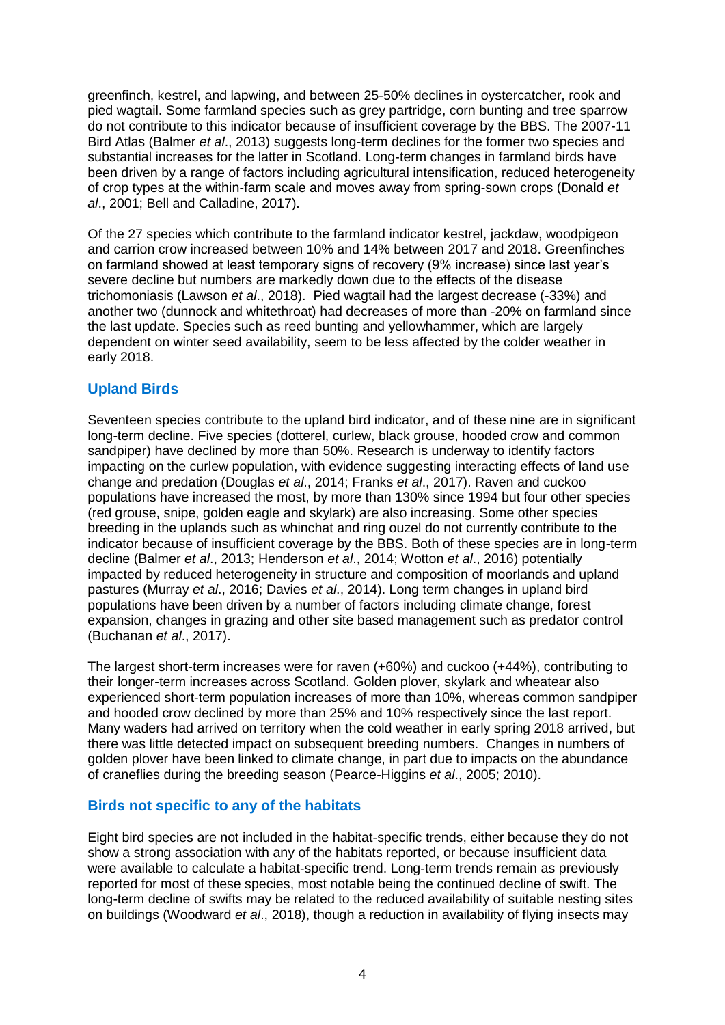greenfinch, kestrel, and lapwing, and between 25-50% declines in oystercatcher, rook and pied wagtail. Some farmland species such as grey partridge, corn bunting and tree sparrow do not contribute to this indicator because of insufficient coverage by the BBS. The 2007-11 Bird Atlas (Balmer *et al*., 2013) suggests long-term declines for the former two species and substantial increases for the latter in Scotland. Long-term changes in farmland birds have been driven by a range of factors including agricultural intensification, reduced heterogeneity of crop types at the within-farm scale and moves away from spring-sown crops (Donald *et al*., 2001; Bell and Calladine, 2017).

Of the 27 species which contribute to the farmland indicator kestrel, jackdaw, woodpigeon and carrion crow increased between 10% and 14% between 2017 and 2018. Greenfinches on farmland showed at least temporary signs of recovery (9% increase) since last year's severe decline but numbers are markedly down due to the effects of the disease trichomoniasis (Lawson *et al*., 2018). Pied wagtail had the largest decrease (-33%) and another two (dunnock and whitethroat) had decreases of more than -20% on farmland since the last update. Species such as reed bunting and yellowhammer, which are largely dependent on winter seed availability, seem to be less affected by the colder weather in early 2018.

#### **Upland Birds**

Seventeen species contribute to the upland bird indicator, and of these nine are in significant long-term decline. Five species (dotterel, curlew, black grouse, hooded crow and common sandpiper) have declined by more than 50%. Research is underway to identify factors impacting on the curlew population, with evidence suggesting interacting effects of land use change and predation (Douglas *et al*., 2014; Franks *et al*., 2017). Raven and cuckoo populations have increased the most, by more than 130% since 1994 but four other species (red grouse, snipe, golden eagle and skylark) are also increasing. Some other species breeding in the uplands such as whinchat and ring ouzel do not currently contribute to the indicator because of insufficient coverage by the BBS. Both of these species are in long-term decline (Balmer *et al*., 2013; Henderson *et al*., 2014; Wotton *et al*., 2016) potentially impacted by reduced heterogeneity in structure and composition of moorlands and upland pastures (Murray *et al*., 2016; Davies *et al*., 2014). Long term changes in upland bird populations have been driven by a number of factors including climate change, forest expansion, changes in grazing and other site based management such as predator control (Buchanan *et al*., 2017).

The largest short-term increases were for raven (+60%) and cuckoo (+44%), contributing to their longer-term increases across Scotland. Golden plover, skylark and wheatear also experienced short-term population increases of more than 10%, whereas common sandpiper and hooded crow declined by more than 25% and 10% respectively since the last report. Many waders had arrived on territory when the cold weather in early spring 2018 arrived, but there was little detected impact on subsequent breeding numbers. Changes in numbers of golden plover have been linked to climate change, in part due to impacts on the abundance of craneflies during the breeding season (Pearce-Higgins *et al*., 2005; 2010).

#### **Birds not specific to any of the habitats**

Eight bird species are not included in the habitat-specific trends, either because they do not show a strong association with any of the habitats reported, or because insufficient data were available to calculate a habitat-specific trend. Long-term trends remain as previously reported for most of these species, most notable being the continued decline of swift. The long-term decline of swifts may be related to the reduced availability of suitable nesting sites on buildings (Woodward *et al*., 2018), though a reduction in availability of flying insects may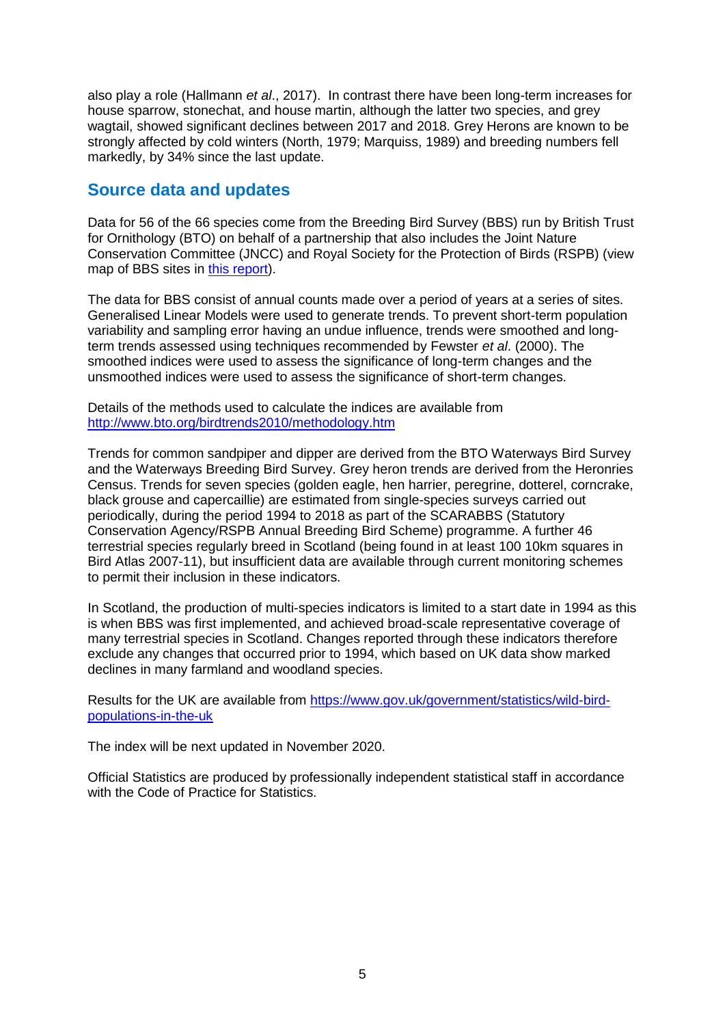also play a role (Hallmann *et al*., 2017). In contrast there have been long-term increases for house sparrow, stonechat, and house martin, although the latter two species, and grey wagtail, showed significant declines between 2017 and 2018. Grey Herons are known to be strongly affected by cold winters (North, 1979; Marquiss, 1989) and breeding numbers fell markedly, by 34% since the last update.

### **Source data and updates**

Data for 56 of the 66 species come from the Breeding Bird Survey (BBS) run by British Trust for Ornithology (BTO) on behalf of a partnership that also includes the Joint Nature Conservation Committee (JNCC) and Royal Society for the Protection of Birds (RSPB) (view map of BBS sites in [this report\)](https://www.bto.org/sites/default/files/bbs-report-2015.pdf).

The data for BBS consist of annual counts made over a period of years at a series of sites. Generalised Linear Models were used to generate trends. To prevent short-term population variability and sampling error having an undue influence, trends were smoothed and longterm trends assessed using techniques recommended by Fewster *et al*. (2000). The smoothed indices were used to assess the significance of long-term changes and the unsmoothed indices were used to assess the significance of short-term changes.

Details of the methods used to calculate the indices are available from <http://www.bto.org/birdtrends2010/methodology.htm>

Trends for common sandpiper and dipper are derived from the BTO Waterways Bird Survey and the Waterways Breeding Bird Survey. Grey heron trends are derived from the Heronries Census. Trends for seven species (golden eagle, hen harrier, peregrine, dotterel, corncrake, black grouse and capercaillie) are estimated from single-species surveys carried out periodically, during the period 1994 to 2018 as part of the SCARABBS (Statutory Conservation Agency/RSPB Annual Breeding Bird Scheme) programme. A further 46 terrestrial species regularly breed in Scotland (being found in at least 100 10km squares in Bird Atlas 2007-11), but insufficient data are available through current monitoring schemes to permit their inclusion in these indicators.

In Scotland, the production of multi-species indicators is limited to a start date in 1994 as this is when BBS was first implemented, and achieved broad-scale representative coverage of many terrestrial species in Scotland. Changes reported through these indicators therefore exclude any changes that occurred prior to 1994, which based on UK data show marked declines in many farmland and woodland species.

Results for the UK are available from [https://www.gov.uk/government/statistics/wild-bird](https://www.gov.uk/government/statistics/wild-bird-populations-in-the-uk)[populations-in-the-uk](https://www.gov.uk/government/statistics/wild-bird-populations-in-the-uk)

The index will be next updated in November 2020.

Official Statistics are produced by professionally independent statistical staff in accordance with the Code of Practice for Statistics.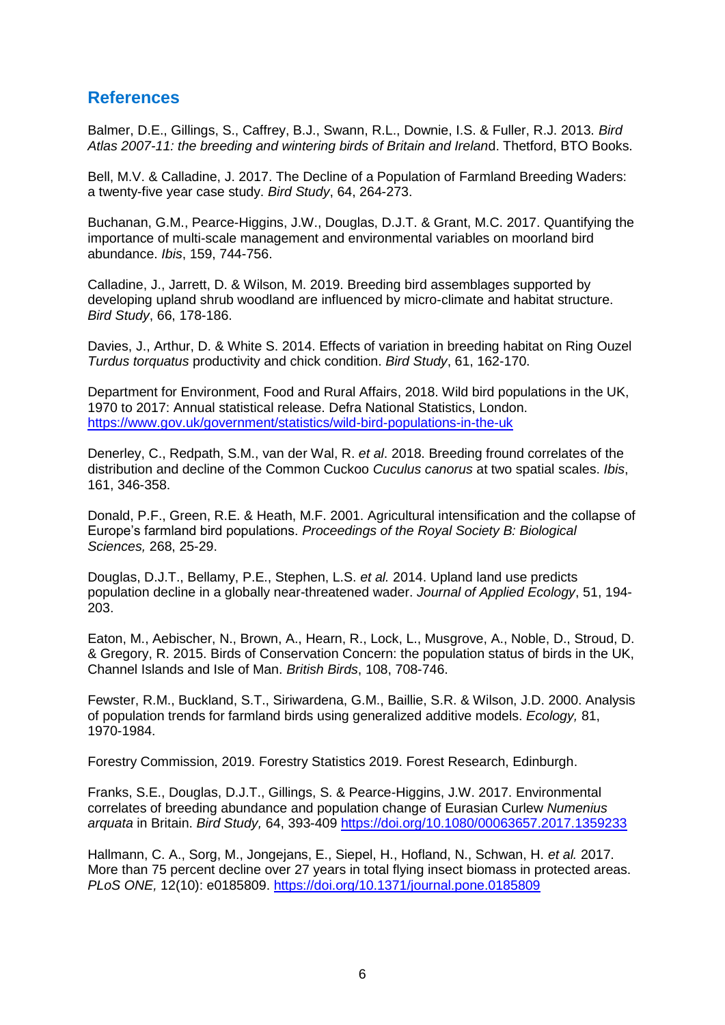### **References**

Balmer, D.E., Gillings, S., Caffrey, B.J., Swann, R.L., Downie, I.S. & Fuller, R.J. 2013. *Bird Atlas 2007-11: the breeding and wintering birds of Britain and Irelan*d. Thetford, BTO Books.

Bell, M.V. & Calladine, J. 2017. The Decline of a Population of Farmland Breeding Waders: a twenty-five year case study. *Bird Study*, 64, 264-273.

Buchanan, G.M., Pearce-Higgins, J.W., Douglas, D.J.T. & Grant, M.C. 2017. Quantifying the importance of multi-scale management and environmental variables on moorland bird abundance. *Ibis*, 159, 744-756.

Calladine, J., Jarrett, D. & Wilson, M. 2019. Breeding bird assemblages supported by developing upland shrub woodland are influenced by micro-climate and habitat structure. *Bird Study*, 66, 178-186.

Davies, J., Arthur, D. & White S. 2014. Effects of variation in breeding habitat on Ring Ouzel *Turdus torquatus* productivity and chick condition. *Bird Study*, 61, 162-170.

Department for Environment, Food and Rural Affairs, 2018. Wild bird populations in the UK, 1970 to 2017: Annual statistical release. Defra National Statistics, London. <https://www.gov.uk/government/statistics/wild-bird-populations-in-the-uk>

Denerley, C., Redpath, S.M., van der Wal, R. *et al*. 2018. Breeding fround correlates of the distribution and decline of the Common Cuckoo *Cuculus canorus* at two spatial scales. *Ibis*, 161, 346-358.

Donald, P.F., Green, R.E. & Heath, M.F. 2001. Agricultural intensification and the collapse of Europe's farmland bird populations. *Proceedings of the Royal Society B: Biological Sciences,* 268, 25-29.

Douglas, D.J.T., Bellamy, P.E., Stephen, L.S. *et al.* 2014. Upland land use predicts population decline in a globally near-threatened wader. *Journal of Applied Ecology*, 51, 194- 203.

Eaton, M., Aebischer, N., Brown, A., Hearn, R., Lock, L., Musgrove, A., Noble, D., Stroud, D. & Gregory, R. 2015. Birds of Conservation Concern: the population status of birds in the UK, Channel Islands and Isle of Man. *British Birds*, 108, 708-746.

Fewster, R.M., Buckland, S.T., Siriwardena, G.M., Baillie, S.R. & Wilson, J.D. 2000. Analysis of population trends for farmland birds using generalized additive models. *Ecology,* 81, 1970-1984.

Forestry Commission, 2019. Forestry Statistics 2019. Forest Research, Edinburgh.

Franks, S.E., Douglas, D.J.T., Gillings, S. & Pearce-Higgins, J.W. 2017. Environmental correlates of breeding abundance and population change of Eurasian Curlew *Numenius arquata* in Britain. *Bird Study,* 64, 393-409<https://doi.org/10.1080/00063657.2017.1359233>

Hallmann, C. A., Sorg, M., Jongejans, E., Siepel, H., Hofland, N., Schwan, H. *et al.* 2017. More than 75 percent decline over 27 years in total flying insect biomass in protected areas. *PLoS ONE,* 12(10): e0185809.<https://doi.org/10.1371/journal.pone.0185809>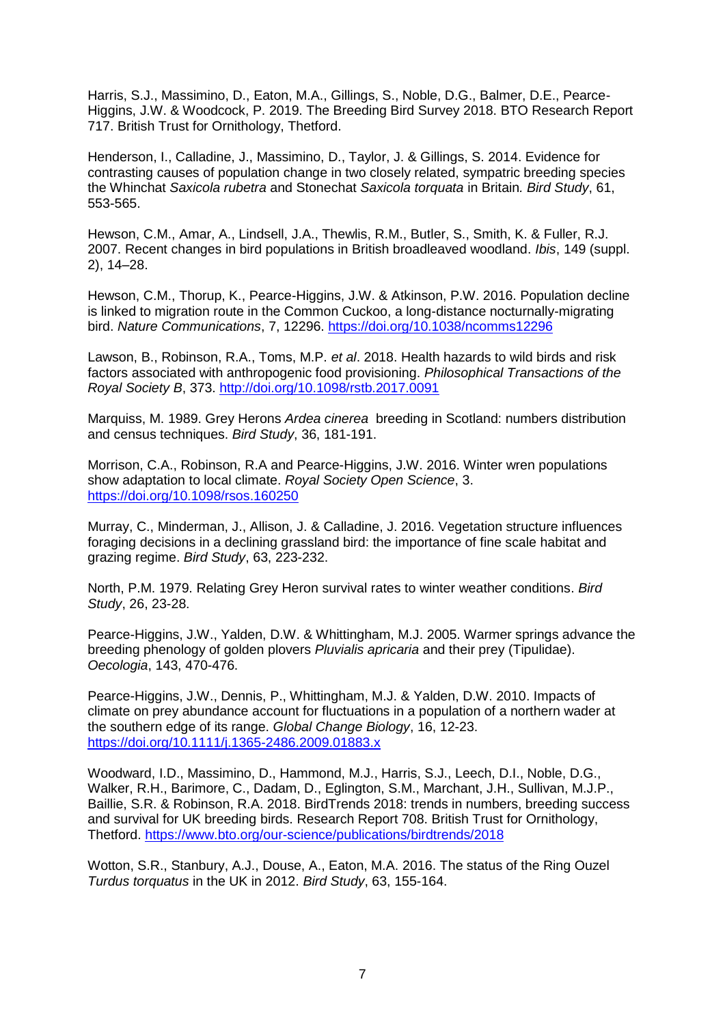Harris, S.J., Massimino, D., Eaton, M.A., Gillings, S., Noble, D.G., Balmer, D.E., Pearce-Higgins, J.W. & Woodcock, P. 2019. The Breeding Bird Survey 2018. BTO Research Report 717. British Trust for Ornithology, Thetford.

Henderson, I., Calladine, J., Massimino, D., Taylor, J. & Gillings, S. 2014. Evidence for contrasting causes of population change in two closely related, sympatric breeding species the Whinchat *Saxicola rubetra* and Stonechat *Saxicola torquata* in Britain*. Bird Study*, 61, 553-565.

Hewson, C.M., Amar, A., Lindsell, J.A., Thewlis, R.M., Butler, S., Smith, K. & Fuller, R.J. 2007. Recent changes in bird populations in British broadleaved woodland. *Ibis*, 149 (suppl. 2), 14–28.

Hewson, C.M., Thorup, K., Pearce-Higgins, J.W. & Atkinson, P.W. 2016. Population decline is linked to migration route in the Common Cuckoo, a long-distance nocturnally-migrating bird. *Nature Communications*, 7, 12296.<https://doi.org/10.1038/ncomms12296>

Lawson, B., Robinson, R.A., Toms, M.P. *et al*. 2018. Health hazards to wild birds and risk factors associated with anthropogenic food provisioning. *Philosophical Transactions of the Royal Society B*, 373. [http://doi.org/10.1098/rstb.2017.0091](https://doi.org/10.1098/rstb.2017.0091)

Marquiss, M. 1989. Grey Herons *Ardea cinerea* breeding in Scotland: numbers distribution and census techniques. *Bird Study*, 36, 181-191.

Morrison, C.A., Robinson, R.A and Pearce-Higgins, J.W. 2016. Winter wren populations show adaptation to local climate. *Royal Society Open Science*, 3. <https://doi.org/10.1098/rsos.160250>

Murray, C., Minderman, J., Allison, J. & Calladine, J. 2016. Vegetation structure influences foraging decisions in a declining grassland bird: the importance of fine scale habitat and grazing regime. *Bird Study*, 63, 223-232.

North, P.M. 1979. Relating Grey Heron survival rates to winter weather conditions. *Bird Study*, 26, 23-28.

Pearce-Higgins, J.W., Yalden, D.W. & Whittingham, M.J. 2005. Warmer springs advance the breeding phenology of golden plovers *Pluvialis apricaria* and their prey (Tipulidae). *Oecologia*, 143, 470-476.

Pearce-Higgins, J.W., Dennis, P., Whittingham, M.J. & Yalden, D.W. 2010. Impacts of climate on prey abundance account for fluctuations in a population of a northern wader at the southern edge of its range. *Global Change Biology*, 16, 12-23. <https://doi.org/10.1111/j.1365-2486.2009.01883.x>

Woodward, I.D., Massimino, D., Hammond, M.J., Harris, S.J., Leech, D.I., Noble, D.G., Walker, R.H., Barimore, C., Dadam, D., Eglington, S.M., Marchant, J.H., Sullivan, M.J.P., Baillie, S.R. & Robinson, R.A. 2018. BirdTrends 2018: trends in numbers, breeding success and survival for UK breeding birds. Research Report 708. British Trust for Ornithology, Thetford. <https://www.bto.org/our-science/publications/birdtrends/2018>

Wotton, S.R., Stanbury, A.J., Douse, A., Eaton, M.A. 2016. The status of the Ring Ouzel *Turdus torquatus* in the UK in 2012. *Bird Study*, 63, 155-164.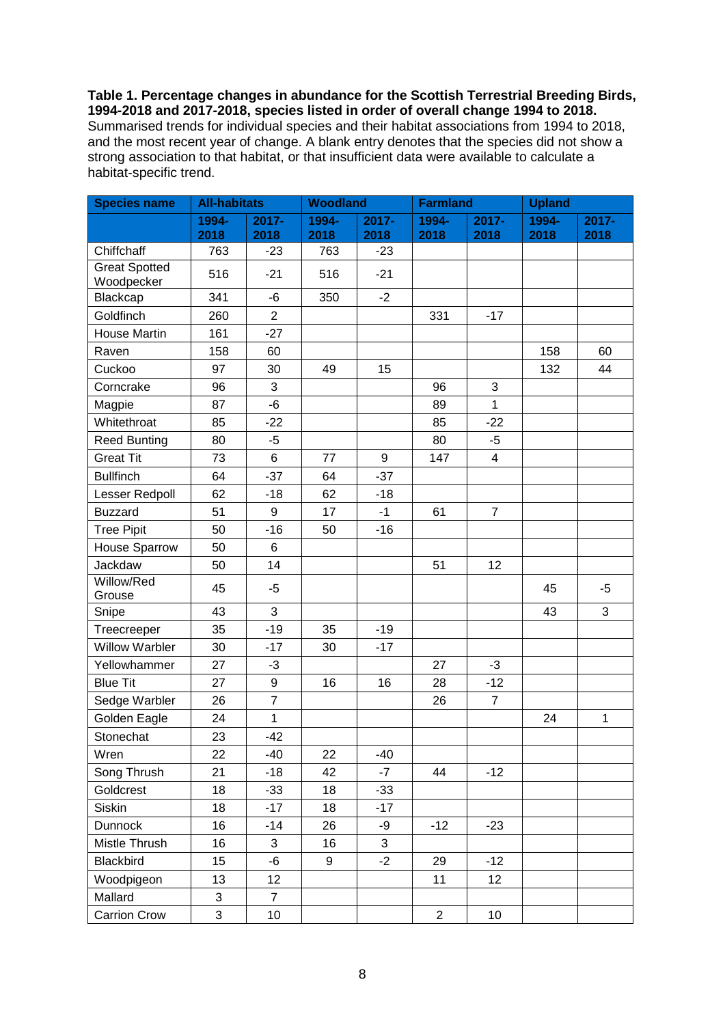#### **Table 1. Percentage changes in abundance for the Scottish Terrestrial Breeding Birds, 1994-2018 and 2017-2018, species listed in order of overall change 1994 to 2018.** Summarised trends for individual species and their habitat associations from 1994 to 2018, and the most recent year of change. A blank entry denotes that the species did not show a strong association to that habitat, or that insufficient data were available to calculate a habitat-specific trend.

| <b>Species name</b>                | <b>All-habitats</b> |                 | <b>Woodland</b> |                | <b>Farmland</b> |                  | <b>Upland</b> |              |
|------------------------------------|---------------------|-----------------|-----------------|----------------|-----------------|------------------|---------------|--------------|
|                                    | 1994-               | $2017 -$        | 1994-           | $2017 -$       | 1994-           | $2017 -$         | 1994-         | 2017-        |
|                                    | 2018                | 2018            | 2018            | 2018           | 2018            | 2018             | 2018          | 2018         |
| Chiffchaff                         | 763                 | $-23$           | 763             | $-23$          |                 |                  |               |              |
| <b>Great Spotted</b><br>Woodpecker | 516                 | $-21$           | 516             | $-21$          |                 |                  |               |              |
| Blackcap                           | 341                 | -6              | 350             | $-2$           |                 |                  |               |              |
| Goldfinch                          | 260                 | $\overline{2}$  |                 |                | 331             | $-17$            |               |              |
| House Martin                       | 161                 | $-27$           |                 |                |                 |                  |               |              |
| Raven                              | 158                 | 60              |                 |                |                 |                  | 158           | 60           |
| Cuckoo                             | 97                  | 30              | 49              | 15             |                 |                  | 132           | 44           |
| Corncrake                          | 96                  | 3               |                 |                | 96              | 3                |               |              |
| Magpie                             | 87                  | $-6$            |                 |                | 89              | $\mathbf{1}$     |               |              |
| Whitethroat                        | 85                  | $-22$           |                 |                | 85              | $-22$            |               |              |
| <b>Reed Bunting</b>                | 80                  | $-5$            |                 |                | 80              | $-5$             |               |              |
| <b>Great Tit</b>                   | 73                  | 6               | 77              | $9\,$          | 147             | $\overline{4}$   |               |              |
| <b>Bullfinch</b>                   | 64                  | $-37$           | 64              | $-37$          |                 |                  |               |              |
| Lesser Redpoll                     | 62                  | $-18$           | 62              | $-18$          |                 |                  |               |              |
| <b>Buzzard</b>                     | 51                  | 9               | 17              | $-1$           | 61              | $\boldsymbol{7}$ |               |              |
| <b>Tree Pipit</b>                  | 50                  | $-16$           | 50              | $-16$          |                 |                  |               |              |
| House Sparrow                      | 50                  | 6               |                 |                |                 |                  |               |              |
| Jackdaw                            | 50                  | 14              |                 |                | 51              | 12               |               |              |
| Willow/Red<br>Grouse               | 45                  | $-5$            |                 |                |                 |                  | 45            | -5           |
| Snipe                              | 43                  | 3               |                 |                |                 |                  | 43            | 3            |
| Treecreeper                        | 35                  | $-19$           | 35              | $-19$          |                 |                  |               |              |
| <b>Willow Warbler</b>              | 30                  | $-17$           | 30              | $-17$          |                 |                  |               |              |
| Yellowhammer                       | 27                  | $-3$            |                 |                | 27              | $-3$             |               |              |
| <b>Blue Tit</b>                    | 27                  | 9               | 16              | 16             | 28              | $-12$            |               |              |
| Sedge Warbler                      | 26                  | $\overline{7}$  |                 |                | 26              | $\boldsymbol{7}$ |               |              |
| Golden Eagle                       | 24                  | $\mathbf{1}$    |                 |                |                 |                  | 24            | $\mathbf{1}$ |
| Stonechat                          | 23                  | $-42$           |                 |                |                 |                  |               |              |
| Wren                               | 22                  | -40             | 22              | $-40$          |                 |                  |               |              |
| Song Thrush                        | 21                  | $-18$           | 42              | $-7$           | 44              | $-12$            |               |              |
| Goldcrest                          | 18                  | $-33$           | 18              | $-33$          |                 |                  |               |              |
| Siskin                             | 18                  | $-17$           | 18              | $-17$          |                 |                  |               |              |
| Dunnock                            | 16                  | $-14$           | 26              | -9             | $-12$           | $-23$            |               |              |
| Mistle Thrush                      | 16                  | 3               | 16              | $\mathfrak{S}$ |                 |                  |               |              |
| <b>Blackbird</b>                   | 15                  | -6              | 9               | $-2$           | 29              | $-12$            |               |              |
| Woodpigeon                         | 13                  | 12 <sub>2</sub> |                 |                | 11              | 12               |               |              |
| Mallard                            | 3                   | $\overline{7}$  |                 |                |                 |                  |               |              |
| <b>Carrion Crow</b>                | 3                   | 10              |                 |                | $\overline{c}$  | 10 <sub>1</sub>  |               |              |